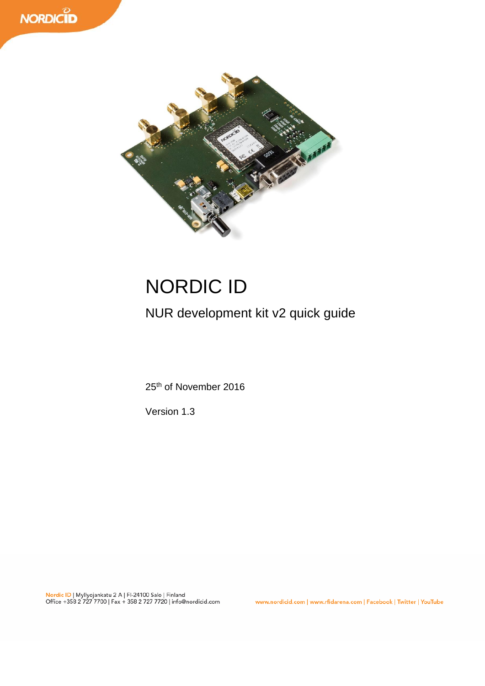



# NORDIC ID

NUR development kit v2 quick guide

25<sup>th</sup> of November 2016

Version 1.3

www.nordicid.com | www.rfidarena.com | Facebook | Twitter | YouTube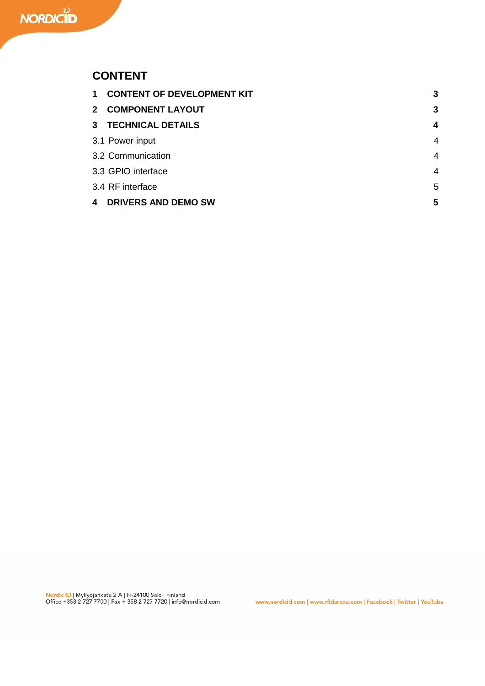### **CONTENT**

| 1 CONTENT OF DEVELOPMENT KIT | 3              |
|------------------------------|----------------|
| 2 COMPONENT LAYOUT           | 3              |
| 3 TECHNICAL DETAILS          | 4              |
| 3.1 Power input              | $\overline{4}$ |
| 3.2 Communication            | $\overline{4}$ |
| 3.3 GPIO interface           | $\overline{4}$ |
| 3.4 RF interface             | 5              |
| 4 DRIVERS AND DEMO SW        | 5              |

www.nordicid.com | www.rfidarena.com | Facebook | Twitter | YouTube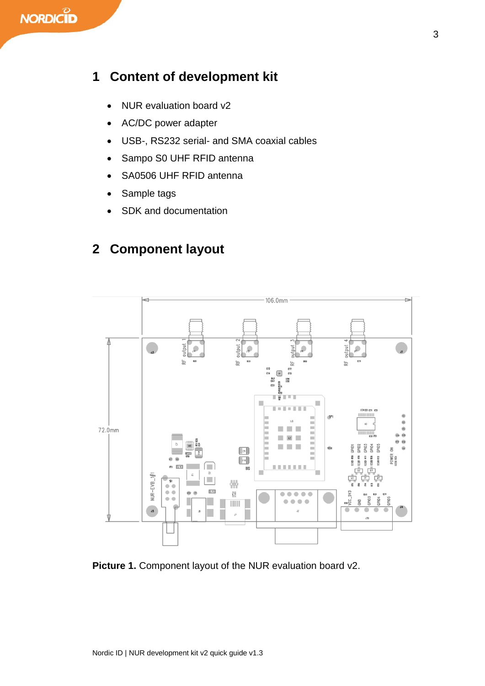## **1 Content of development kit**

- NUR evaluation board v2
- AC/DC power adapter
- USB-, RS232 serial- and SMA coaxial cables
- Sampo S0 UHF RFID antenna
- SA0506 UHF RFID antenna
- Sample tags
- SDK and documentation

## **2 Component layout**



#### **Picture 1.** Component layout of the NUR evaluation board v2.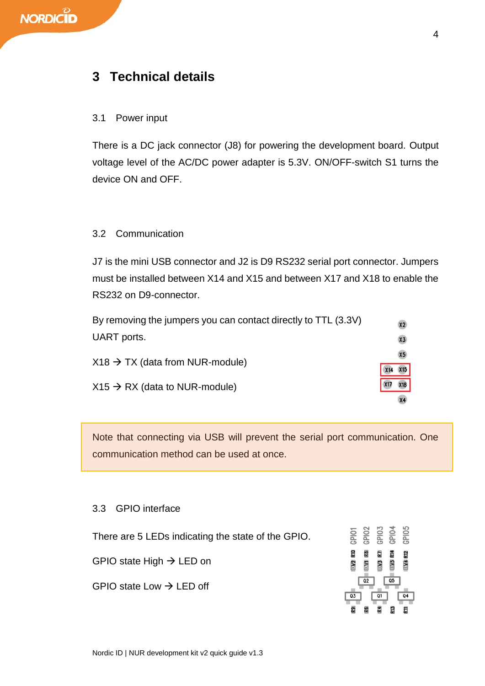## **3 Technical details**

#### 3.1 Power input

There is a DC jack connector (J8) for powering the development board. Output voltage level of the AC/DC power adapter is 5.3V. ON/OFF-switch S1 turns the device ON and OFF.

#### 3.2 Communication

J7 is the mini USB connector and J2 is D9 RS232 serial port connector. Jumpers must be installed between X14 and X15 and between X17 and X18 to enable the RS232 on D9-connector.

| By removing the jumpers you can contact directly to TTL (3.3V) |     | X2        |
|----------------------------------------------------------------|-----|-----------|
| UART ports.                                                    |     | X3        |
| $X18 \rightarrow TX$ (data from NUR-module)                    | X14 | X5<br>X15 |
| $X15 \rightarrow RX$ (data to NUR-module)                      |     | X18       |
|                                                                |     |           |

Note that connecting via USB will prevent the serial port communication. One communication method can be used at once.

#### 3.3 GPIO interface

There are 5 LEDs indicating the state of the GPIO.

GPIO state High  $\rightarrow$  LED on

GPIO state Low  $\rightarrow$  LED off